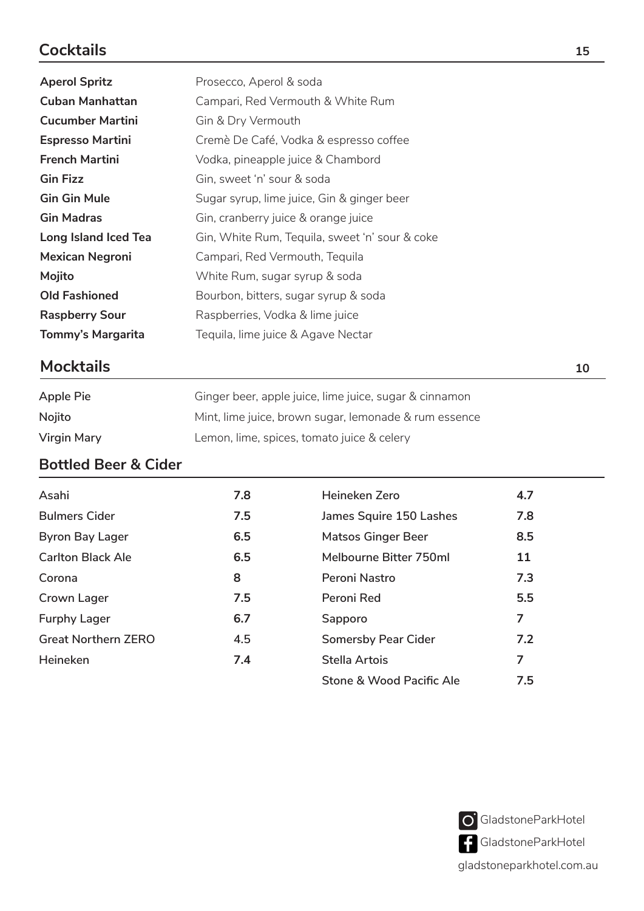# **Cocktails**

| <b>Aperol Spritz</b>    | Prosecco, Aperol & soda                        |    |
|-------------------------|------------------------------------------------|----|
| <b>Cuban Manhattan</b>  | Campari, Red Vermouth & White Rum              |    |
| <b>Cucumber Martini</b> | Gin & Dry Vermouth                             |    |
| <b>Espresso Martini</b> | Cremè De Café, Vodka & espresso coffee         |    |
| <b>French Martini</b>   | Vodka, pineapple juice & Chambord              |    |
| <b>Gin Fizz</b>         | Gin, sweet 'n' sour & soda                     |    |
| <b>Gin Gin Mule</b>     | Sugar syrup, lime juice, Gin & ginger beer     |    |
| <b>Gin Madras</b>       | Gin, cranberry juice & orange juice            |    |
| Long Island Iced Tea    | Gin, White Rum, Tequila, sweet 'n' sour & coke |    |
| <b>Mexican Negroni</b>  | Campari, Red Vermouth, Tequila                 |    |
| Mojito                  | White Rum, sugar syrup & soda                  |    |
| <b>Old Fashioned</b>    | Bourbon, bitters, sugar syrup & soda           |    |
| <b>Raspberry Sour</b>   | Raspberries, Vodka & lime juice                |    |
| Tommy's Margarita       | Tequila, lime juice & Agave Nectar             |    |
| <b>Mocktails</b>        |                                                | 10 |

#### **Mocktails**

| Apple Pie   | Ginger beer, apple juice, lime juice, sugar & cinnamon |
|-------------|--------------------------------------------------------|
| Nojito      | Mint, lime juice, brown sugar, lemonade & rum essence  |
| Virgin Mary | Lemon, lime, spices, tomato juice & celery             |

### **Bottled Beer & Cider**

| Asahi                      | 7.8 | Heineken Zero              | 4.7 |
|----------------------------|-----|----------------------------|-----|
| <b>Bulmers Cider</b>       | 7.5 | James Squire 150 Lashes    | 7.8 |
| <b>Byron Bay Lager</b>     | 6.5 | <b>Matsos Ginger Beer</b>  | 8.5 |
| <b>Carlton Black Ale</b>   | 6.5 | Melbourne Bitter 750ml     | 11  |
| Corona                     | 8   | Peroni Nastro              | 7.3 |
| Crown Lager                | 7.5 | Peroni Red                 | 5.5 |
| <b>Furphy Lager</b>        | 6.7 | Sapporo                    | 7   |
| <b>Great Northern ZERO</b> | 4.5 | <b>Somersby Pear Cider</b> | 7.2 |
| Heineken                   | 7.4 | Stella Artois              | 7   |
|                            |     | Stone & Wood Pacific Ale   | 7.5 |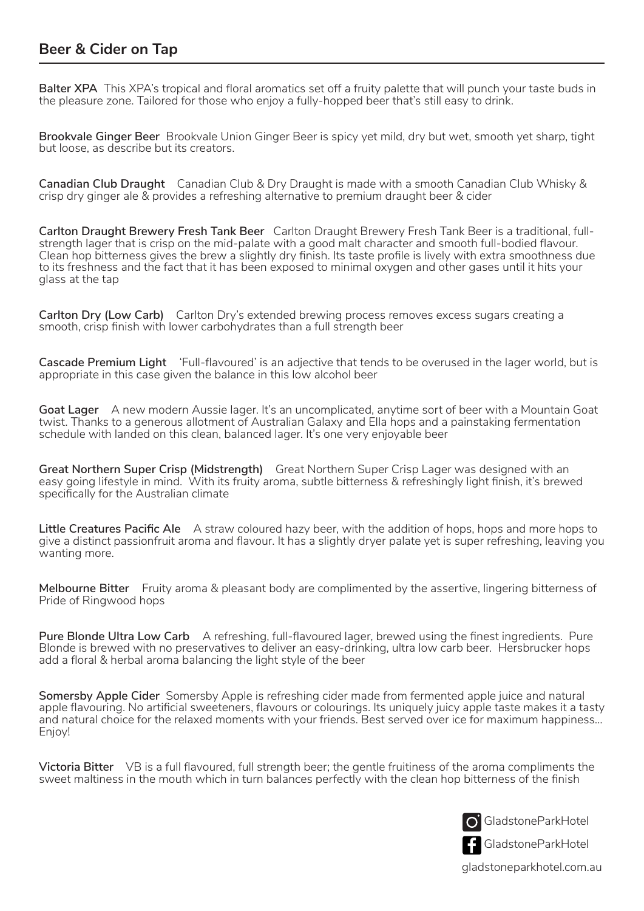#### **Beer & Cider on Tap**

**Balter XPA** This XPA's tropical and floral aromatics set off a fruity palette that will punch your taste buds in the pleasure zone. Tailored for those who enjoy a fully-hopped beer that's still easy to drink.

**Brookvale Ginger Beer** Brookvale Union Ginger Beer is spicy yet mild, dry but wet, smooth yet sharp, tight but loose, as describe but its creators.

**Canadian Club Draught** Canadian Club & Dry Draught is made with a smooth Canadian Club Whisky & crisp dry ginger ale & provides a refreshing alternative to premium draught beer & cider

**Carlton Draught Brewery Fresh Tank Beer** Carlton Draught Brewery Fresh Tank Beer is a traditional, fullstrength lager that is crisp on the mid-palate with a good malt character and smooth full-bodied flavour. Clean hop bitterness gives the brew a slightly dry finish. Its taste profile is lively with extra smoothness due to its freshness and the fact that it has been exposed to minimal oxygen and other gases until it hits your glass at the tap

**Carlton Dry (Low Carb)** Carlton Dry's extended brewing process removes excess sugars creating a smooth, crisp finish with lower carbohydrates than a full strength beer

**Cascade Premium Light** 'Full-flavoured' is an adjective that tends to be overused in the lager world, but is appropriate in this case given the balance in this low alcohol beer

**Goat Lager** A new modern Aussie lager. It's an uncomplicated, anytime sort of beer with a Mountain Goat twist. Thanks to a generous allotment of Australian Galaxy and Ella hops and a painstaking fermentation schedule with landed on this clean, balanced lager. It's one very enjoyable beer

**Great Northern Super Crisp (Midstrength)** Great Northern Super Crisp Lager was designed with an easy going lifestyle in mind. With its fruity aroma, subtle bitterness & refreshingly light finish, it's brewed specifically for the Australian climate

**Little Creatures Pacific Ale** A straw coloured hazy beer, with the addition of hops, hops and more hops to give a distinct passionfruit aroma and flavour. It has a slightly dryer palate yet is super refreshing, leaving you wanting more.

**Melbourne Bitter** Fruity aroma & pleasant body are complimented by the assertive, lingering bitterness of Pride of Ringwood hops

**Pure Blonde Ultra Low Carb** A refreshing, full-flavoured lager, brewed using the finest ingredients. Pure Blonde is brewed with no preservatives to deliver an easy-drinking, ultra low carb beer. Hersbrucker hops add a floral & herbal aroma balancing the light style of the beer

**Somersby Apple Cider** Somersby Apple is refreshing cider made from fermented apple juice and natural apple flavouring. No artificial sweeteners, flavours or colourings. Its uniquely juicy apple taste makes it a tasty and natural choice for the relaxed moments with your friends. Best served over ice for maximum happiness… Enjoy!

**Victoria Bitter** VB is a full flavoured, full strength beer; the gentle fruitiness of the aroma compliments the sweet maltiness in the mouth which in turn balances perfectly with the clean hop bitterness of the finish



GladstoneParkHotel

gladstoneparkhotel.com.au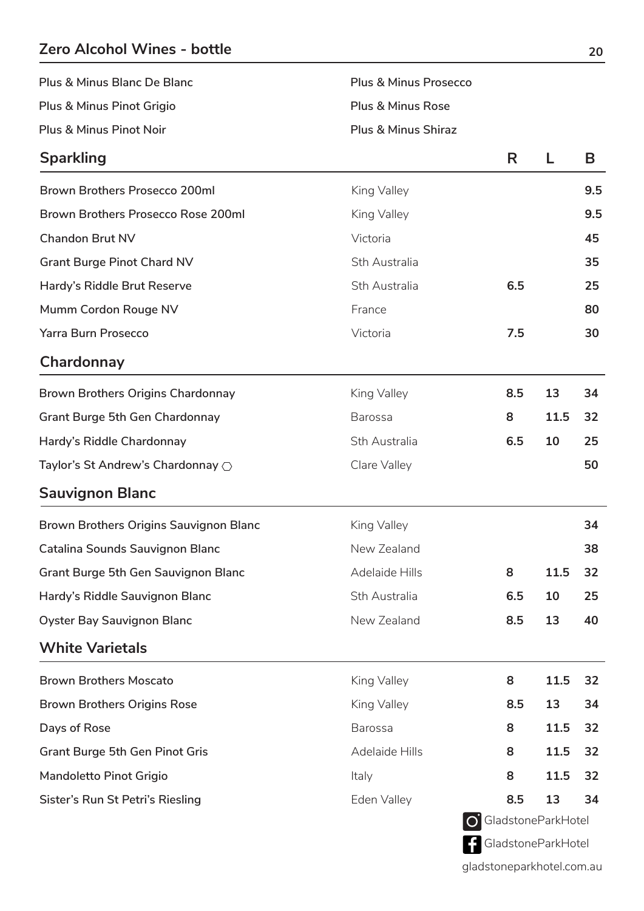## **Zero Alcohol Wines - bottle**

| Plus & Minus Blanc De Blanc | <b>Plus &amp; Minus Prosecco</b> |
|-----------------------------|----------------------------------|
| Plus & Minus Pinot Grigio   | Plus & Minus Rose                |
| Plus & Minus Pinot Noir     | <b>Plus &amp; Minus Shiraz</b>   |

| <b>Sparkling</b>                           |                | R                           |      | B   |
|--------------------------------------------|----------------|-----------------------------|------|-----|
| <b>Brown Brothers Prosecco 200ml</b>       | King Valley    |                             |      | 9.5 |
| Brown Brothers Prosecco Rose 200ml         | King Valley    |                             |      | 9.5 |
| <b>Chandon Brut NV</b>                     | Victoria       |                             |      | 45  |
| <b>Grant Burge Pinot Chard NV</b>          | Sth Australia  |                             |      | 35  |
| Hardy's Riddle Brut Reserve                | Sth Australia  | 6.5                         |      | 25  |
| Mumm Cordon Rouge NV                       | France         |                             |      | 80  |
| <b>Yarra Burn Prosecco</b>                 | Victoria       | 7.5                         |      | 30  |
| Chardonnay                                 |                |                             |      |     |
| <b>Brown Brothers Origins Chardonnay</b>   | King Valley    | 8.5                         | 13   | 34  |
| <b>Grant Burge 5th Gen Chardonnay</b>      | <b>Barossa</b> | 8                           | 11.5 | 32  |
| Hardy's Riddle Chardonnay                  | Sth Australia  | 6.5                         | 10   | 25  |
| Taylor's St Andrew's Chardonnay $\bigcirc$ | Clare Valley   |                             |      | 50  |
| <b>Sauvignon Blanc</b>                     |                |                             |      |     |
| Brown Brothers Origins Sauvignon Blanc     | King Valley    |                             |      | 34  |
| Catalina Sounds Sauvignon Blanc            | New Zealand    |                             |      | 38  |
| <b>Grant Burge 5th Gen Sauvignon Blanc</b> | Adelaide Hills | 8                           | 11.5 | 32  |
| Hardy's Riddle Sauvignon Blanc             | Sth Australia  | 6.5                         | 10   | 25  |
| <b>Oyster Bay Sauvignon Blanc</b>          | New Zealand    | 8.5                         | 13   | 40  |
| <b>White Varietals</b>                     |                |                             |      |     |
| <b>Brown Brothers Moscato</b>              | King Valley    | 8                           | 11.5 | 32  |
| <b>Brown Brothers Origins Rose</b>         | King Valley    | 8.5                         | 13   | 34  |
| Days of Rose                               | <b>Barossa</b> | 8                           | 11.5 | 32  |
| <b>Grant Burge 5th Gen Pinot Gris</b>      | Adelaide Hills | 8                           | 11.5 | 32  |
| Mandoletto Pinot Grigio                    | Italy          | 8                           | 11.5 | 32  |
| Sister's Run St Petri's Riesling           | Eden Valley    | 8.5                         | 13   | 34  |
|                                            |                | <b>O</b> GladstoneParkHotel |      |     |

gladstoneparkhotel.com.au

GladstoneParkHotel